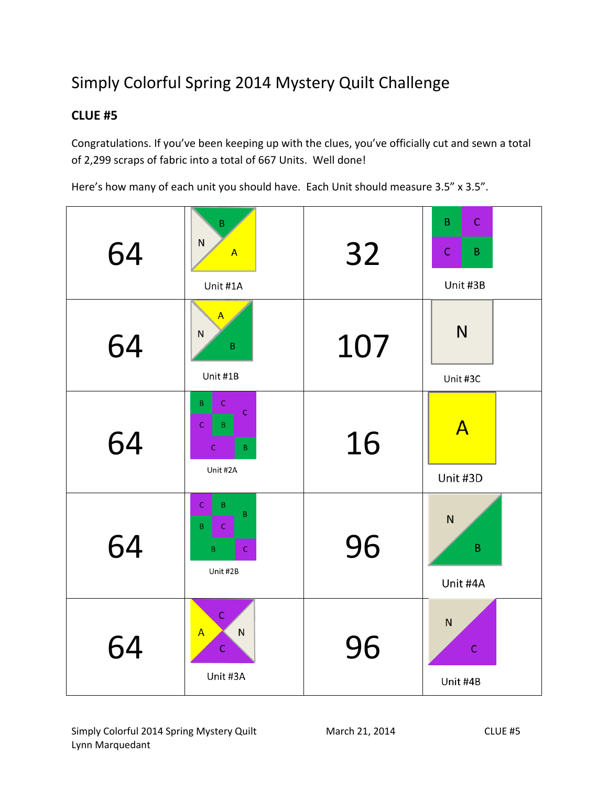# Simply Colorful Spring 2014 Mystery Quilt Challenge

## **CLUE #5**

Congratulations. If you've been keeping up with the clues, you've officially cut and sewn a total of 2,299 scraps of fabric into a total of 667 Units. Well done!

Here's how many of each unit you should have. Each Unit should measure 3.5" x 3.5".

| 64 | $\sf B$<br>${\sf N}$<br>$\mathsf{A}$<br>Unit #1A                                               | 32  | $\mathsf{C}$<br>B<br>$\mathsf{C}$<br>B<br>Unit #3B |
|----|------------------------------------------------------------------------------------------------|-----|----------------------------------------------------|
| 64 | $\mathsf{A}$<br>${\sf N}$<br>$\sf B$<br>Unit #1B                                               | 107 | N<br>Unit #3C                                      |
| 64 | B<br>$\mathsf{C}$<br>$\mathsf C$<br>$\mathsf C$<br>B<br>$\mathsf C$<br>$\mathsf B$<br>Unit #2A | 16  | $\mathsf{A}$<br>Unit #3D                           |
| 64 | $\mathsf C$<br>B<br>$\sf B$<br>B.<br>$\mathsf{C}$<br>$\mathsf C$<br>$\mathsf B$<br>Unit #2B    | 96  | N<br>$\sf B$<br>Unit #4A                           |
| 64 | $\mathsf{C}$<br>$\overline{A}$<br>${\sf N}$<br>$\mathsf C$<br>Unit #3A                         | 96  | ${\sf N}$<br>$\mathsf C$<br>Unit #4B               |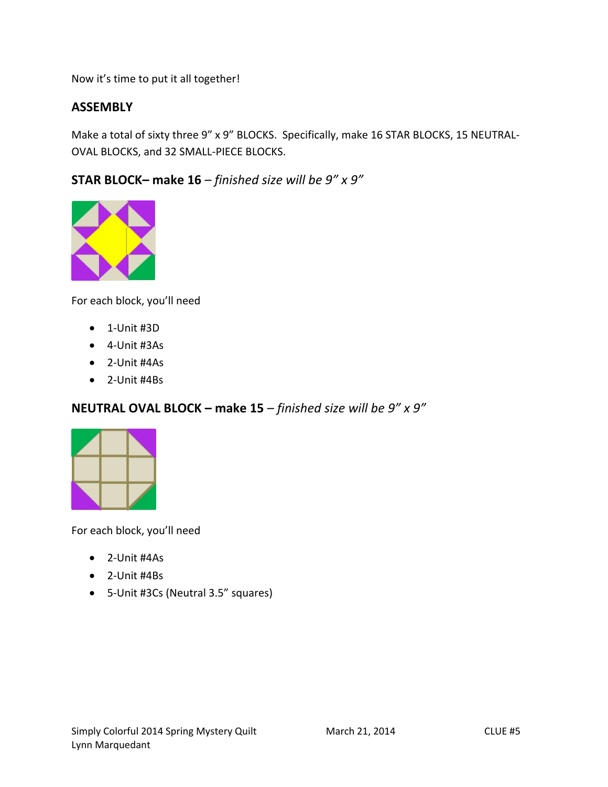Now it's time to put it all together!

#### **ASSEMBLY**

Make a total of sixty three 9" x 9" BLOCKS. Specifically, make 16 STAR BLOCKS, 15 NEUTRAL-OVAL BLOCKS, and 32 SMALL-PIECE BLOCKS.

**STAR BLOCK– make 16** *– finished size will be 9" x 9"*



For each block, you'll need

- $\bullet$  1-Unit #3D
- 4-Unit #3As
- 2-Unit #4As
- 2-Unit #4Bs

#### **NEUTRAL OVAL BLOCK – make 15** *– finished size will be 9" x 9"*



For each block, you'll need

- 2-Unit #4As
- 2-Unit #4Bs
- 5-Unit #3Cs (Neutral 3.5" squares)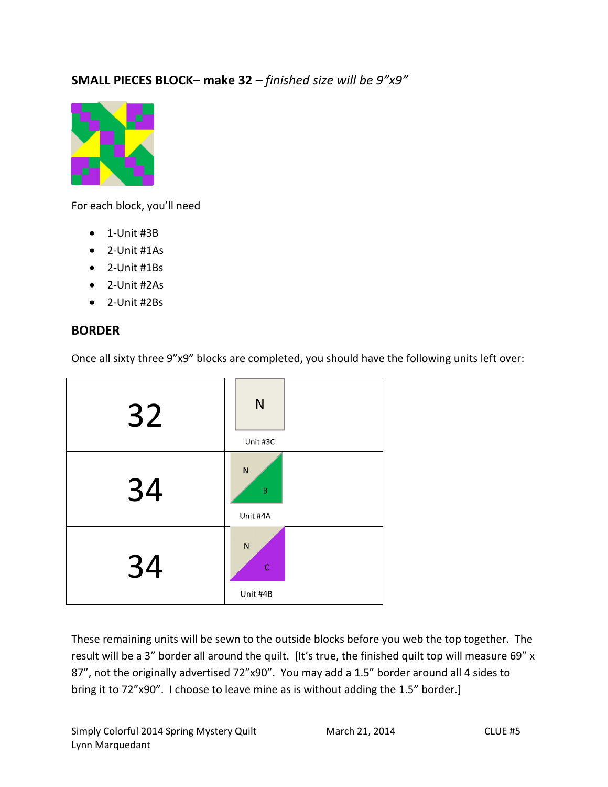## **SMALL PIECES BLOCK– make 32** *– finished size will be 9"x9"*



For each block, you'll need

- $\bullet$  1-Unit #3B
- 2-Unit #1As
- 2-Unit #1Bs
- 2-Unit #2As
- 2-Unit #2Bs

#### **BORDER**



Once all sixty three 9"x9" blocks are completed, you should have the following units left over:

These remaining units will be sewn to the outside blocks before you web the top together. The result will be a 3" border all around the quilt. [It's true, the finished quilt top will measure 69" x 87", not the originally advertised 72"x90". You may add a 1.5" border around all 4 sides to bring it to 72"x90". I choose to leave mine as is without adding the 1.5" border.]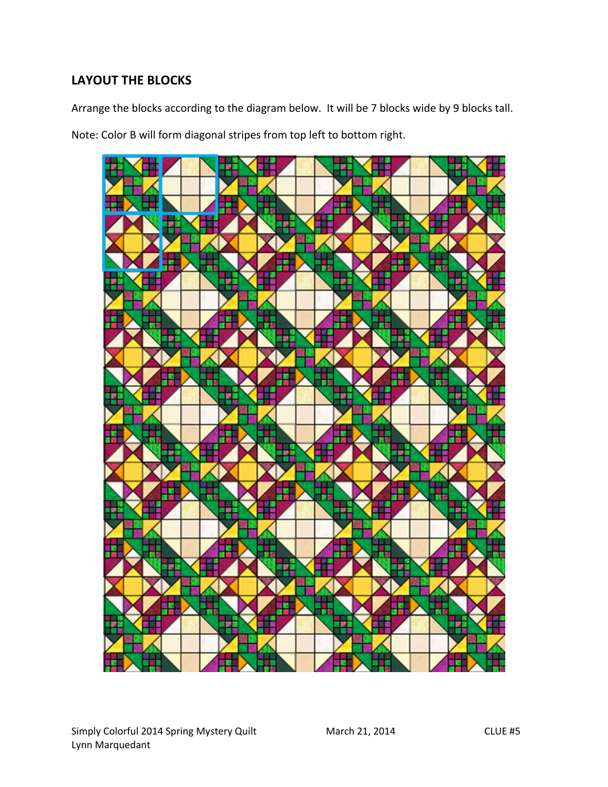## **LAYOUT THE BLOCKS**

Arrange the blocks according to the diagram below. It will be 7 blocks wide by 9 blocks tall.

Note: Color B will form diagonal stripes from top left to bottom right.

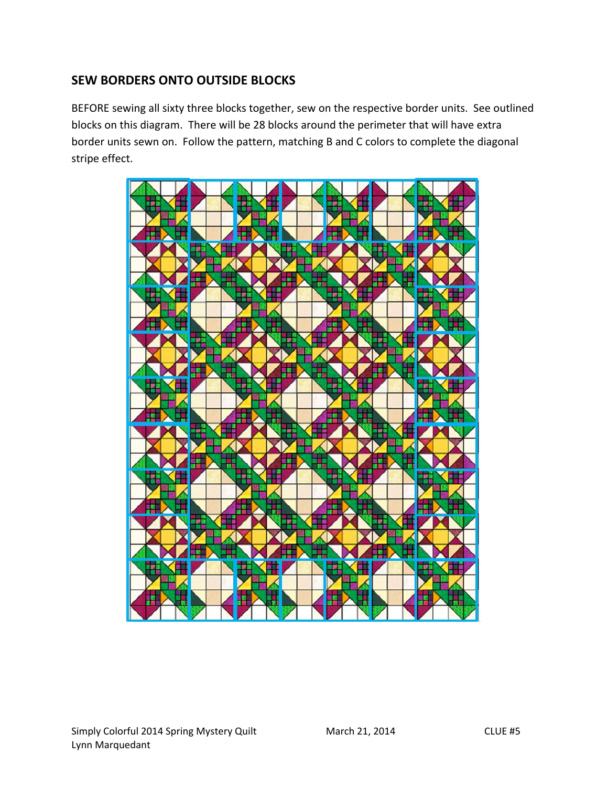## **SEW BORDERS ONTO OUTSIDE BLOCKS**

BEFORE sewing all sixty three blocks together, sew on the respective border units. See outlined blocks on this diagram. There will be 28 blocks around the perimeter that will have extra border units sewn on. Follow the pattern, matching B and C colors to complete the diagonal stripe effect.

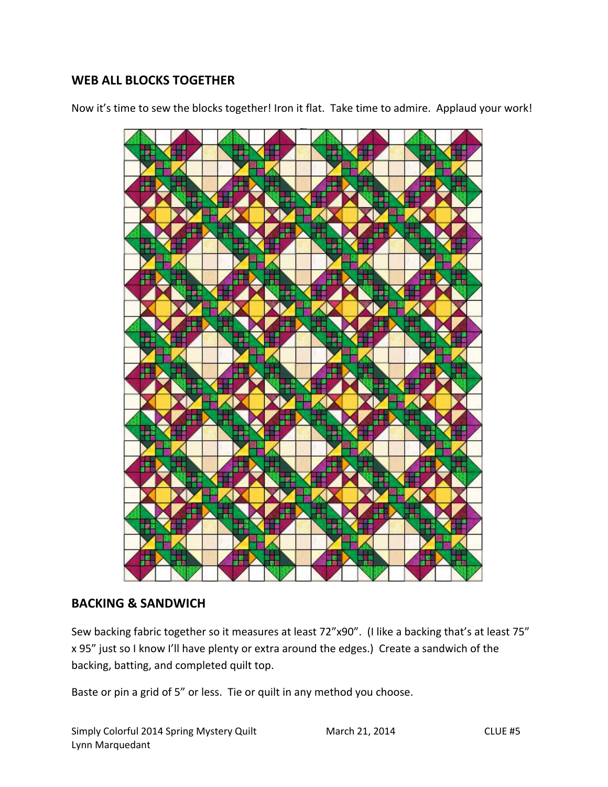#### **WEB ALL BLOCKS TOGETHER**

Now it's time to sew the blocks together! Iron it flat. Take time to admire. Applaud your work!



#### **BACKING & SANDWICH**

Sew backing fabric together so it measures at least 72"x90". (I like a backing that's at least 75" x 95" just so I know I'll have plenty or extra around the edges.) Create a sandwich of the backing, batting, and completed quilt top.

Baste or pin a grid of 5" or less. Tie or quilt in any method you choose.